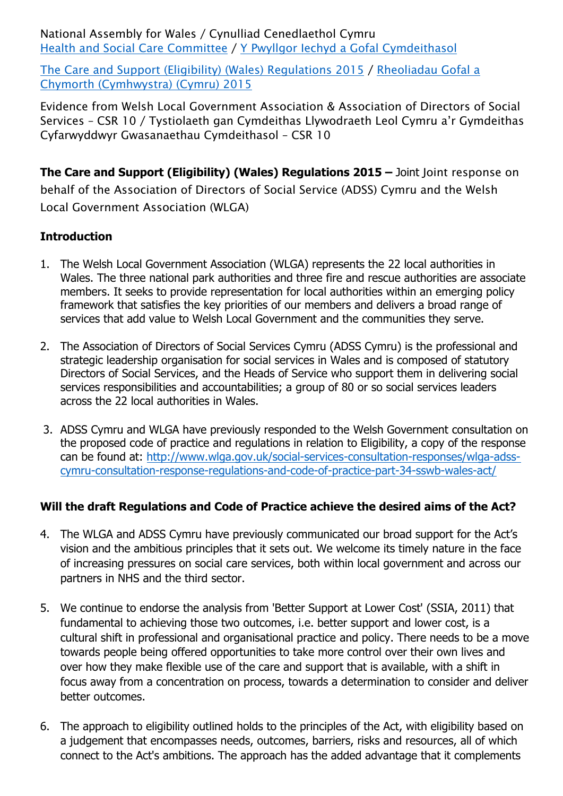National Assembly for Wales / Cynulliad Cenedlaethol Cymru Health and Social Care [Committee](http://www.senedd.assembly.wales/mgCommitteeDetails.aspx?ID=227) / Y Pwyllgor Iechyd a Gofal [Cymdeithasol](http://www.senedd.cynulliad.cymru/mgCommitteeDetails.aspx?ID=227)

The Care and Support (Eligibility) (Wales) [Regulations](http://www.senedd.assembly.wales/mgConsultationDisplay.aspx?ID=177) 2015 / [Rheoliadau](http://www.senedd.cynulliad.cymru/mgConsultationDisplay.aspx?ID=177) Gofal a Chymorth [\(Cymhwystra\)](http://www.senedd.cynulliad.cymru/mgConsultationDisplay.aspx?ID=177) (Cymru) 2015

Evidence from Welsh Local Government Association & Association of Directors of Social Services – CSR 10 / Tystiolaeth gan Cymdeithas Llywodraeth Leol Cymru a'r Gymdeithas Cyfarwyddwyr Gwasanaethau Cymdeithasol – CSR 10

**The Care and Support (Eligibility) (Wales) Regulations 2015 –** Joint Joint response on behalf of the Association of Directors of Social Service (ADSS) Cymru and the Welsh Local Government Association (WLGA)

## **Introduction**

- 1. The Welsh Local Government Association (WLGA) represents the 22 local authorities in Wales. The three national park authorities and three fire and rescue authorities are associate members. It seeks to provide representation for local authorities within an emerging policy framework that satisfies the key priorities of our members and delivers a broad range of services that add value to Welsh Local Government and the communities they serve.
- 2. The Association of Directors of Social Services Cymru (ADSS Cymru) is the professional and strategic leadership organisation for social services in Wales and is composed of statutory Directors of Social Services, and the Heads of Service who support them in delivering social services responsibilities and accountabilities; a group of 80 or so social services leaders across the 22 local authorities in Wales.
- 3. ADSS Cymru and WLGA have previously responded to the Welsh Government consultation on the proposed code of practice and regulations in relation to Eligibility, a copy of the response can be found at: [http://www.wlga.gov.uk/social-services-consultation-responses/wlga-adss](http://www.wlga.gov.uk/social-services-consultation-responses/wlga-adss-cymru-consultation-response-regulations-and-code-of-practice-part-34-sswb-wales-act/)[cymru-consultation-response-regulations-and-code-of-practice-part-34-sswb-wales-act/](http://www.wlga.gov.uk/social-services-consultation-responses/wlga-adss-cymru-consultation-response-regulations-and-code-of-practice-part-34-sswb-wales-act/)

# **Will the draft Regulations and Code of Practice achieve the desired aims of the Act?**

- 4. The WLGA and ADSS Cymru have previously communicated our broad support for the Act's vision and the ambitious principles that it sets out. We welcome its timely nature in the face of increasing pressures on social care services, both within local government and across our partners in NHS and the third sector.
- 5. We continue to endorse the analysis from 'Better Support at Lower Cost' (SSIA, 2011) that fundamental to achieving those two outcomes, i.e. better support and lower cost, is a cultural shift in professional and organisational practice and policy. There needs to be a move towards people being offered opportunities to take more control over their own lives and over how they make flexible use of the care and support that is available, with a shift in focus away from a concentration on process, towards a determination to consider and deliver better outcomes.
- 6. The approach to eligibility outlined holds to the principles of the Act, with eligibility based on a judgement that encompasses needs, outcomes, barriers, risks and resources, all of which connect to the Act's ambitions. The approach has the added advantage that it complements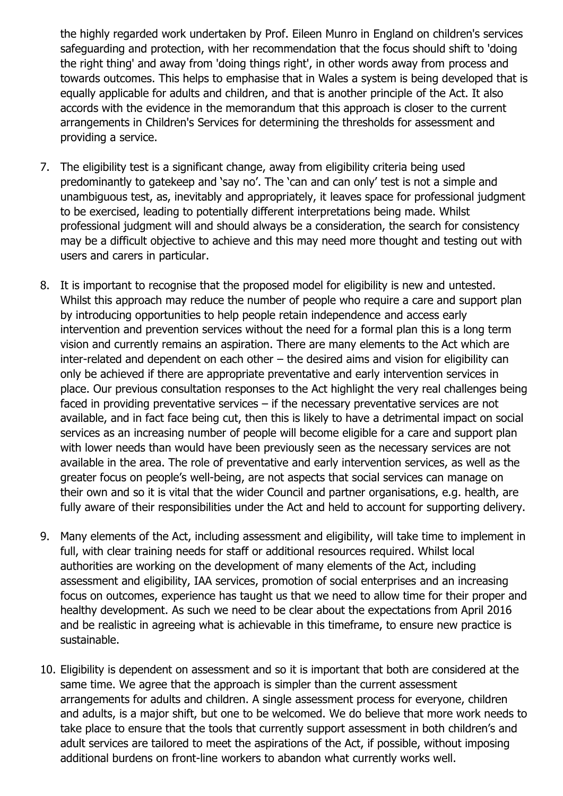the highly regarded work undertaken by Prof. Eileen Munro in England on children's services safeguarding and protection, with her recommendation that the focus should shift to 'doing the right thing' and away from 'doing things right', in other words away from process and towards outcomes. This helps to emphasise that in Wales a system is being developed that is equally applicable for adults and children, and that is another principle of the Act. It also accords with the evidence in the memorandum that this approach is closer to the current arrangements in Children's Services for determining the thresholds for assessment and providing a service.

- 7. The eligibility test is a significant change, away from eligibility criteria being used predominantly to gatekeep and 'say no'. The 'can and can only' test is not a simple and unambiguous test, as, inevitably and appropriately, it leaves space for professional judgment to be exercised, leading to potentially different interpretations being made. Whilst professional judgment will and should always be a consideration, the search for consistency may be a difficult objective to achieve and this may need more thought and testing out with users and carers in particular.
- 8. It is important to recognise that the proposed model for eligibility is new and untested. Whilst this approach may reduce the number of people who require a care and support plan by introducing opportunities to help people retain independence and access early intervention and prevention services without the need for a formal plan this is a long term vision and currently remains an aspiration. There are many elements to the Act which are inter-related and dependent on each other – the desired aims and vision for eligibility can only be achieved if there are appropriate preventative and early intervention services in place. Our previous consultation responses to the Act highlight the very real challenges being faced in providing preventative services – if the necessary preventative services are not available, and in fact face being cut, then this is likely to have a detrimental impact on social services as an increasing number of people will become eligible for a care and support plan with lower needs than would have been previously seen as the necessary services are not available in the area. The role of preventative and early intervention services, as well as the greater focus on people's well-being, are not aspects that social services can manage on their own and so it is vital that the wider Council and partner organisations, e.g. health, are fully aware of their responsibilities under the Act and held to account for supporting delivery.
- 9. Many elements of the Act, including assessment and eligibility, will take time to implement in full, with clear training needs for staff or additional resources required. Whilst local authorities are working on the development of many elements of the Act, including assessment and eligibility, IAA services, promotion of social enterprises and an increasing focus on outcomes, experience has taught us that we need to allow time for their proper and healthy development. As such we need to be clear about the expectations from April 2016 and be realistic in agreeing what is achievable in this timeframe, to ensure new practice is sustainable.
- 10. Eligibility is dependent on assessment and so it is important that both are considered at the same time. We agree that the approach is simpler than the current assessment arrangements for adults and children. A single assessment process for everyone, children and adults, is a major shift, but one to be welcomed. We do believe that more work needs to take place to ensure that the tools that currently support assessment in both children's and adult services are tailored to meet the aspirations of the Act, if possible, without imposing additional burdens on front-line workers to abandon what currently works well.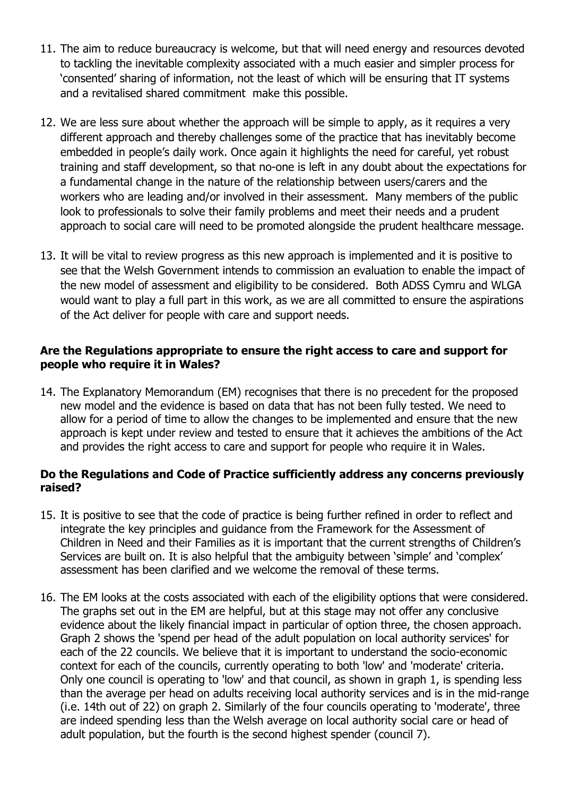- 11. The aim to reduce bureaucracy is welcome, but that will need energy and resources devoted to tackling the inevitable complexity associated with a much easier and simpler process for 'consented' sharing of information, not the least of which will be ensuring that IT systems and a revitalised shared commitment make this possible.
- 12. We are less sure about whether the approach will be simple to apply, as it requires a very different approach and thereby challenges some of the practice that has inevitably become embedded in people's daily work. Once again it highlights the need for careful, yet robust training and staff development, so that no-one is left in any doubt about the expectations for a fundamental change in the nature of the relationship between users/carers and the workers who are leading and/or involved in their assessment. Many members of the public look to professionals to solve their family problems and meet their needs and a prudent approach to social care will need to be promoted alongside the prudent healthcare message.
- 13. It will be vital to review progress as this new approach is implemented and it is positive to see that the Welsh Government intends to commission an evaluation to enable the impact of the new model of assessment and eligibility to be considered. Both ADSS Cymru and WLGA would want to play a full part in this work, as we are all committed to ensure the aspirations of the Act deliver for people with care and support needs.

#### **Are the Regulations appropriate to ensure the right access to care and support for people who require it in Wales?**

14. The Explanatory Memorandum (EM) recognises that there is no precedent for the proposed new model and the evidence is based on data that has not been fully tested. We need to allow for a period of time to allow the changes to be implemented and ensure that the new approach is kept under review and tested to ensure that it achieves the ambitions of the Act and provides the right access to care and support for people who require it in Wales.

#### **Do the Regulations and Code of Practice sufficiently address any concerns previously raised?**

- 15. It is positive to see that the code of practice is being further refined in order to reflect and integrate the key principles and guidance from the Framework for the Assessment of Children in Need and their Families as it is important that the current strengths of Children's Services are built on. It is also helpful that the ambiguity between 'simple' and 'complex' assessment has been clarified and we welcome the removal of these terms.
- 16. The EM looks at the costs associated with each of the eligibility options that were considered. The graphs set out in the EM are helpful, but at this stage may not offer any conclusive evidence about the likely financial impact in particular of option three, the chosen approach. Graph 2 shows the 'spend per head of the adult population on local authority services' for each of the 22 councils. We believe that it is important to understand the socio-economic context for each of the councils, currently operating to both 'low' and 'moderate' criteria. Only one council is operating to 'low' and that council, as shown in graph 1, is spending less than the average per head on adults receiving local authority services and is in the mid-range (i.e. 14th out of 22) on graph 2. Similarly of the four councils operating to 'moderate', three are indeed spending less than the Welsh average on local authority social care or head of adult population, but the fourth is the second highest spender (council 7).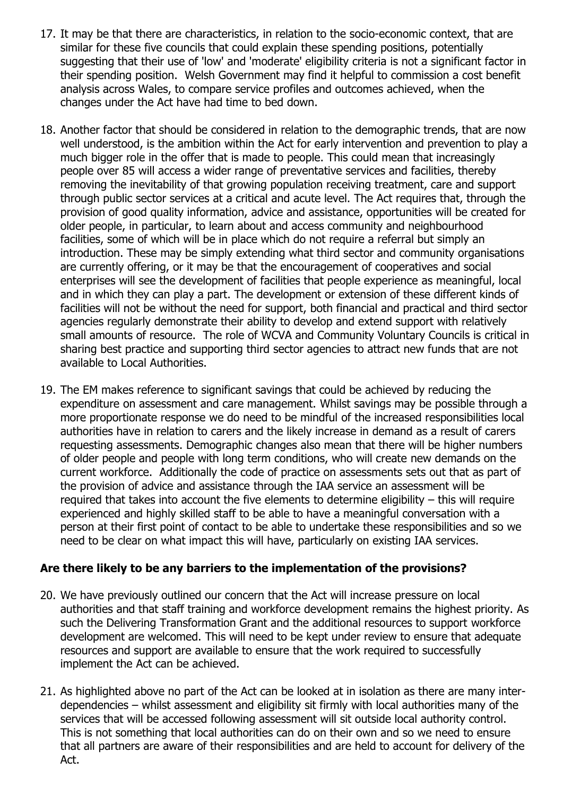- 17. It may be that there are characteristics, in relation to the socio-economic context, that are similar for these five councils that could explain these spending positions, potentially suggesting that their use of 'low' and 'moderate' eligibility criteria is not a significant factor in their spending position. Welsh Government may find it helpful to commission a cost benefit analysis across Wales, to compare service profiles and outcomes achieved, when the changes under the Act have had time to bed down.
- 18. Another factor that should be considered in relation to the demographic trends, that are now well understood, is the ambition within the Act for early intervention and prevention to play a much bigger role in the offer that is made to people. This could mean that increasingly people over 85 will access a wider range of preventative services and facilities, thereby removing the inevitability of that growing population receiving treatment, care and support through public sector services at a critical and acute level. The Act requires that, through the provision of good quality information, advice and assistance, opportunities will be created for older people, in particular, to learn about and access community and neighbourhood facilities, some of which will be in place which do not require a referral but simply an introduction. These may be simply extending what third sector and community organisations are currently offering, or it may be that the encouragement of cooperatives and social enterprises will see the development of facilities that people experience as meaningful, local and in which they can play a part. The development or extension of these different kinds of facilities will not be without the need for support, both financial and practical and third sector agencies regularly demonstrate their ability to develop and extend support with relatively small amounts of resource. The role of WCVA and Community Voluntary Councils is critical in sharing best practice and supporting third sector agencies to attract new funds that are not available to Local Authorities.
- 19. The EM makes reference to significant savings that could be achieved by reducing the expenditure on assessment and care management. Whilst savings may be possible through a more proportionate response we do need to be mindful of the increased responsibilities local authorities have in relation to carers and the likely increase in demand as a result of carers requesting assessments. Demographic changes also mean that there will be higher numbers of older people and people with long term conditions, who will create new demands on the current workforce. Additionally the code of practice on assessments sets out that as part of the provision of advice and assistance through the IAA service an assessment will be required that takes into account the five elements to determine eligibility – this will require experienced and highly skilled staff to be able to have a meaningful conversation with a person at their first point of contact to be able to undertake these responsibilities and so we need to be clear on what impact this will have, particularly on existing IAA services.

### **Are there likely to be any barriers to the implementation of the provisions?**

- 20. We have previously outlined our concern that the Act will increase pressure on local authorities and that staff training and workforce development remains the highest priority. As such the Delivering Transformation Grant and the additional resources to support workforce development are welcomed. This will need to be kept under review to ensure that adequate resources and support are available to ensure that the work required to successfully implement the Act can be achieved.
- 21. As highlighted above no part of the Act can be looked at in isolation as there are many interdependencies – whilst assessment and eligibility sit firmly with local authorities many of the services that will be accessed following assessment will sit outside local authority control. This is not something that local authorities can do on their own and so we need to ensure that all partners are aware of their responsibilities and are held to account for delivery of the Act.